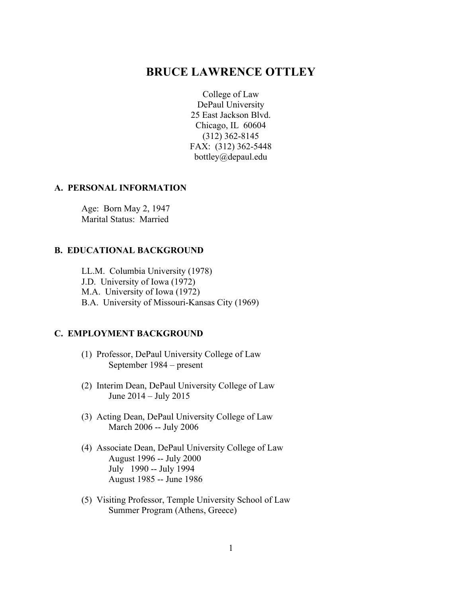# **BRUCE LAWRENCE OTTLEY**

College of Law DePaul University 25 East Jackson Blvd. Chicago, IL 60604 (312) 362-8145 FAX: (312) 362-5448 bottley@depaul.edu

#### **A. PERSONAL INFORMATION**

Age: Born May 2, 1947 Marital Status: Married

# **B. EDUCATIONAL BACKGROUND**

LL.M. Columbia University (1978) J.D. University of Iowa (1972) M.A. University of Iowa (1972) B.A. University of Missouri-Kansas City (1969)

## **C. EMPLOYMENT BACKGROUND**

- (1) Professor, DePaul University College of Law September 1984 – present
- (2) Interim Dean, DePaul University College of Law June 2014 – July 2015
- (3) Acting Dean, DePaul University College of Law March 2006 -- July 2006
- (4) Associate Dean, DePaul University College of Law August 1996 -- July 2000 July 1990 -- July 1994 August 1985 -- June 1986
- (5) Visiting Professor, Temple University School of Law Summer Program (Athens, Greece)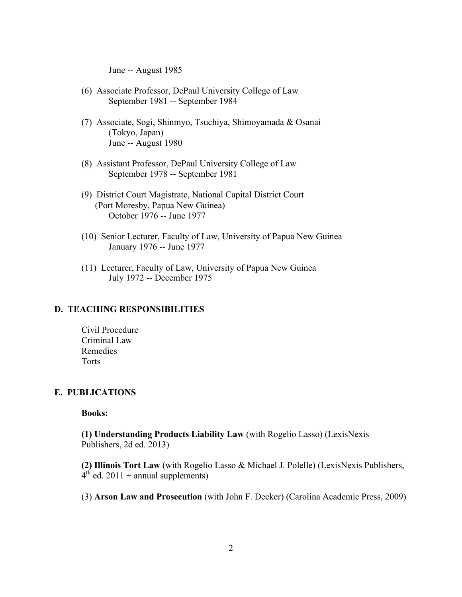June -- August 1985

- (6) Associate Professor, DePaul University College of Law September 1981 -- September 1984
- (7) Associate, Sogi, Shinmyo, Tsuchiya, Shimoyamada & Osanai (Tokyo, Japan) June -- August 1980
- (8) Assistant Professor, DePaul University College of Law September 1978 -- September 1981
- (9) District Court Magistrate, National Capital District Court (Port Moresby, Papua New Guinea) October 1976 -- June 1977
- (10) Senior Lecturer, Faculty of Law, University of Papua New Guinea January 1976 -- June 1977
- (11) Lecturer, Faculty of Law, University of Papua New Guinea July 1972 -- December 1975

#### **D. TEACHING RESPONSIBILITIES**

Civil Procedure Criminal Law Remedies Torts

#### **E. PUBLICATIONS**

**Books:**

**(1) Understanding Products Liability Law** (with Rogelio Lasso) (LexisNexis Publishers, 2d ed. 2013)

**(2) Illinois Tort Law** (with Rogelio Lasso & Michael J. Polelle) (LexisNexis Publishers,  $4<sup>th</sup>$  ed. 2011 + annual supplements)

(3) **Arson Law and Prosecution** (with John F. Decker) (Carolina Academic Press, 2009)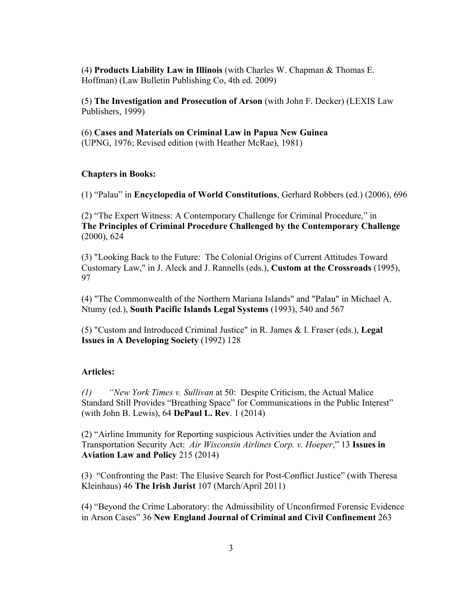(4) **Products Liability Law in Illinois** (with Charles W. Chapman & Thomas E. Hoffman) (Law Bulletin Publishing Co, 4th ed. 2009)

(5) **The Investigation and Prosecution of Arson** (with John F. Decker) (LEXIS Law Publishers, 1999)

(6) **Cases and Materials on Criminal Law in Papua New Guinea** (UPNG, 1976; Revised edition (with Heather McRae), 1981)

## **Chapters in Books:**

(1) "Palau" in **Encyclopedia of World Constitutions**, Gerhard Robbers (ed.) (2006), 696

(2) "The Expert Witness: A Contemporary Challenge for Criminal Procedure," in **The Principles of Criminal Procedure Challenged by the Contemporary Challenge** (2000), 624

(3) "Looking Back to the Future: The Colonial Origins of Current Attitudes Toward Customary Law," in J. Aleck and J. Rannells (eds.), **Custom at the Crossroads** (1995), 97

(4) "The Commonwealth of the Northern Mariana Islands" and "Palau" in Michael A. Ntumy (ed.), **South Pacific Islands Legal Systems** (1993), 540 and 567

(5) "Custom and Introduced Criminal Justice" in R. James & I. Fraser (eds.), **Legal Issues in A Developing Society** (1992) 128

## **Articles:**

*(1) "New York Times v. Sullivan* at 50: Despite Criticism, the Actual Malice Standard Still Provides "Breathing Space" for Communications in the Public Interest" (with John B. Lewis), 64 **DePaul L. Rev**. 1 (2014)

(2) "Airline Immunity for Reporting suspicious Activities under the Aviation and Transportation Security Act: *Air Wisconsin Airlines Corp. v. Hoeper*," 13 **Issues in Aviation Law and Policy** 215 (2014)

(3) "Confronting the Past: The Elusive Search for Post-Conflict Justice" (with Theresa Kleinhaus) 46 **The Irish Jurist** 107 (March/April 2011)

(4) "Beyond the Crime Laboratory: the Admissibility of Unconfirmed Forensic Evidence in Arson Cases" 36 **New England Journal of Criminal and Civil Confinement** 263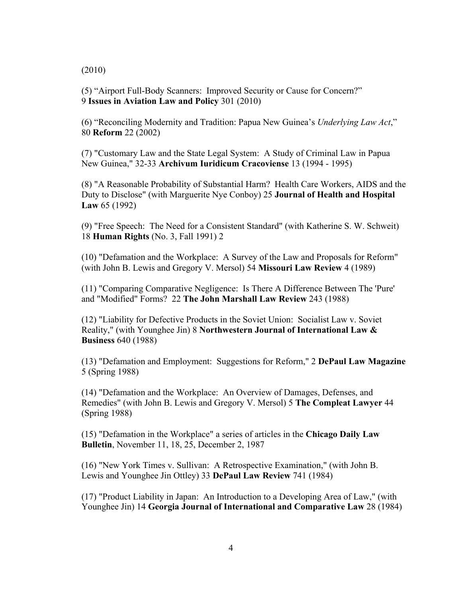(2010)

(5) "Airport Full-Body Scanners: Improved Security or Cause for Concern?" 9 **Issues in Aviation Law and Policy** 301 (2010)

(6) "Reconciling Modernity and Tradition: Papua New Guinea's *Underlying Law Act*," 80 **Reform** 22 (2002)

(7) "Customary Law and the State Legal System: A Study of Criminal Law in Papua New Guinea," 32-33 **Archivum Iuridicum Cracoviense** 13 (1994 - 1995)

(8) "A Reasonable Probability of Substantial Harm? Health Care Workers, AIDS and the Duty to Disclose" (with Marguerite Nye Conboy) 25 **Journal of Health and Hospital Law** 65 (1992)

(9) "Free Speech: The Need for a Consistent Standard" (with Katherine S. W. Schweit) 18 **Human Rights** (No. 3, Fall 1991) 2

(10) "Defamation and the Workplace: A Survey of the Law and Proposals for Reform" (with John B. Lewis and Gregory V. Mersol) 54 **Missouri Law Review** 4 (1989)

(11) "Comparing Comparative Negligence: Is There A Difference Between The 'Pure' and "Modified" Forms? 22 **The John Marshall Law Review** 243 (1988)

(12) "Liability for Defective Products in the Soviet Union: Socialist Law v. Soviet Reality," (with Younghee Jin) 8 **Northwestern Journal of International Law & Business** 640 (1988)

(13) "Defamation and Employment: Suggestions for Reform," 2 **DePaul Law Magazine** 5 (Spring 1988)

(14) "Defamation and the Workplace: An Overview of Damages, Defenses, and Remedies" (with John B. Lewis and Gregory V. Mersol) 5 **The Compleat Lawyer** 44 (Spring 1988)

(15) "Defamation in the Workplace" a series of articles in the **Chicago Daily Law Bulletin**, November 11, 18, 25, December 2, 1987

(16) "New York Times v. Sullivan: A Retrospective Examination," (with John B. Lewis and Younghee Jin Ottley) 33 **DePaul Law Review** 741 (1984)

(17) "Product Liability in Japan: An Introduction to a Developing Area of Law," (with Younghee Jin) 14 **Georgia Journal of International and Comparative Law** 28 (1984)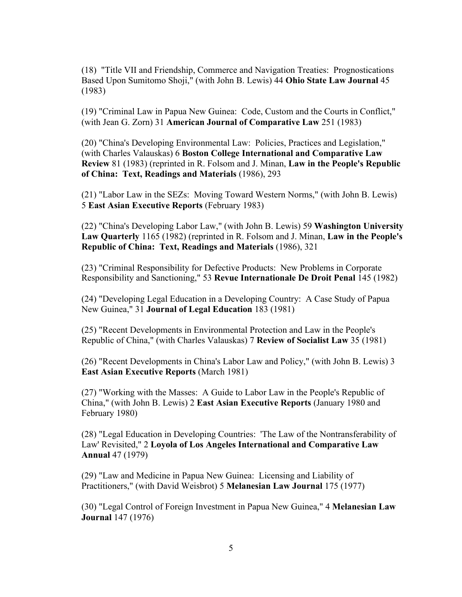(18) "Title VII and Friendship, Commerce and Navigation Treaties: Prognostications Based Upon Sumitomo Shoji," (with John B. Lewis) 44 **Ohio State Law Journal** 45 (1983)

(19) "Criminal Law in Papua New Guinea: Code, Custom and the Courts in Conflict," (with Jean G. Zorn) 31 **American Journal of Comparative Law** 251 (1983)

(20) "China's Developing Environmental Law: Policies, Practices and Legislation," (with Charles Valauskas) 6 **Boston College International and Comparative Law Review** 81 (1983) (reprinted in R. Folsom and J. Minan, **Law in the People's Republic of China: Text, Readings and Materials** (1986), 293

(21) "Labor Law in the SEZs: Moving Toward Western Norms," (with John B. Lewis) 5 **East Asian Executive Reports** (February 1983)

(22) "China's Developing Labor Law," (with John B. Lewis) 59 **Washington University Law Quarterly** 1165 (1982) (reprinted in R. Folsom and J. Minan, **Law in the People's Republic of China: Text, Readings and Materials** (1986), 321

(23) "Criminal Responsibility for Defective Products: New Problems in Corporate Responsibility and Sanctioning," 53 **Revue Internationale De Droit Penal** 145 (1982)

(24) "Developing Legal Education in a Developing Country: A Case Study of Papua New Guinea," 31 **Journal of Legal Education** 183 (1981)

(25) "Recent Developments in Environmental Protection and Law in the People's Republic of China," (with Charles Valauskas) 7 **Review of Socialist Law** 35 (1981)

(26) "Recent Developments in China's Labor Law and Policy," (with John B. Lewis) 3 **East Asian Executive Reports** (March 1981)

(27) "Working with the Masses: A Guide to Labor Law in the People's Republic of China," (with John B. Lewis) 2 **East Asian Executive Reports** (January 1980 and February 1980)

(28) "Legal Education in Developing Countries: 'The Law of the Nontransferability of Law' Revisited," 2 **Loyola of Los Angeles International and Comparative Law Annual** 47 (1979)

(29) "Law and Medicine in Papua New Guinea: Licensing and Liability of Practitioners," (with David Weisbrot) 5 **Melanesian Law Journal** 175 (1977)

(30) "Legal Control of Foreign Investment in Papua New Guinea," 4 **Melanesian Law Journal** 147 (1976)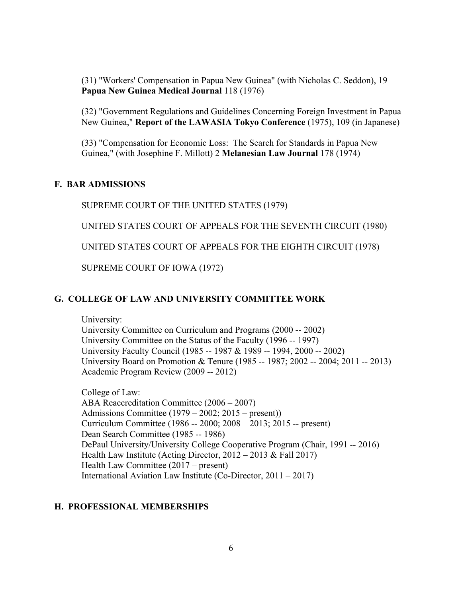(31) "Workers' Compensation in Papua New Guinea" (with Nicholas C. Seddon), 19 **Papua New Guinea Medical Journal** 118 (1976)

(32) "Government Regulations and Guidelines Concerning Foreign Investment in Papua New Guinea," **Report of the LAWASIA Tokyo Conference** (1975), 109 (in Japanese)

(33) "Compensation for Economic Loss: The Search for Standards in Papua New Guinea," (with Josephine F. Millott) 2 **Melanesian Law Journal** 178 (1974)

#### **F. BAR ADMISSIONS**

SUPREME COURT OF THE UNITED STATES (1979)

UNITED STATES COURT OF APPEALS FOR THE SEVENTH CIRCUIT (1980)

UNITED STATES COURT OF APPEALS FOR THE EIGHTH CIRCUIT (1978)

SUPREME COURT OF IOWA (1972)

#### **G. COLLEGE OF LAW AND UNIVERSITY COMMITTEE WORK**

University:

University Committee on Curriculum and Programs (2000 -- 2002) University Committee on the Status of the Faculty (1996 -- 1997) University Faculty Council (1985 -- 1987 & 1989 -- 1994, 2000 -- 2002) University Board on Promotion & Tenure (1985 -- 1987; 2002 -- 2004; 2011 -- 2013) Academic Program Review (2009 -- 2012)

College of Law: ABA Reaccreditation Committee (2006 – 2007) Admissions Committee (1979 – 2002; 2015 – present)) Curriculum Committee (1986 -- 2000; 2008 – 2013; 2015 -- present) Dean Search Committee (1985 -- 1986) DePaul University/University College Cooperative Program (Chair, 1991 -- 2016) Health Law Institute (Acting Director, 2012 – 2013 & Fall 2017) Health Law Committee (2017 – present) International Aviation Law Institute (Co-Director, 2011 – 2017)

### **H. PROFESSIONAL MEMBERSHIPS**